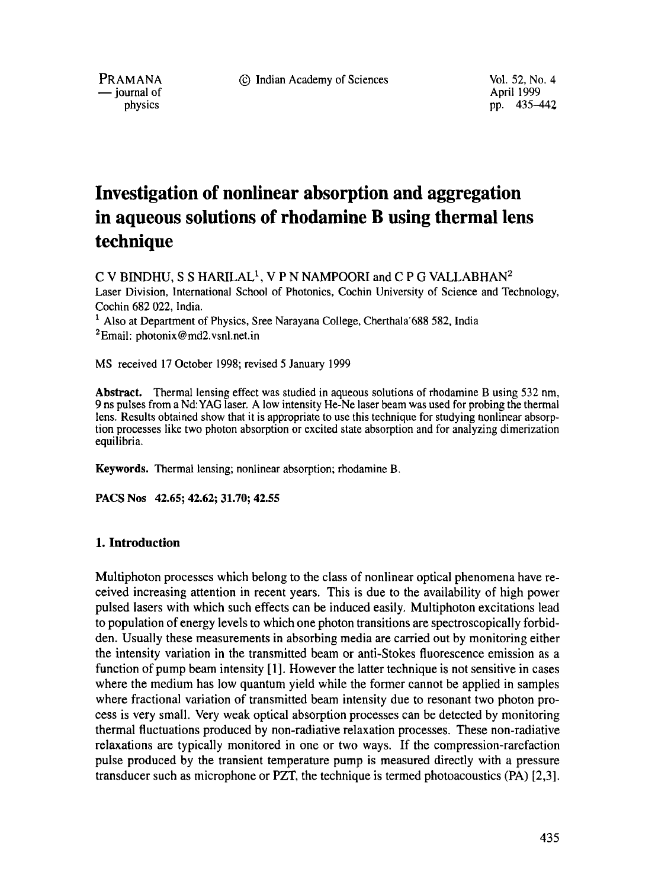PRAMANA 9 Indian Academy of Sciences Vol. 52, No. 4



pp. 435-442

# **Investigation of nonlinear absorption and aggregation in aqueous solutions of rhodamine B using thermal lens technique**

 $C$  V BINDHU, S S HARILAL<sup>1</sup>, V P N NAMPOORI and  $C$  P G VALLABHAN<sup>2</sup> Laser Division, International School of Photonics, Cochin University of Science and Technology, Cochin 682 022, India.  $<sup>1</sup>$  Also at Department of Physics, Sree Narayana College, Cherthala'688 582, India</sup>

 ${}^{2}$ Email: photonix @ md2.vsnl.net.in

MS received 17 October 1998; revised 5 January 1999

**Abstract.** Thermal lensing effect was studied in aqueous solutions of rhodamine B using 532 nm, 9 ns pulses from a Nd:YAG laser. A low intensity He-Ne laser beam was used for probing the thermal lens. Results obtained show that it is appropriate to use this technique for studying nonlinear absorption processes like two photon absorption or excited state absorption and for analyzing dimerization equilibria.

**Keywords.** Thermal lensing; nonlinear absorption; rhodamine B.

**PACS Nos** 42.65; 42.62; 31.70; 42.55

#### **I. Introduction**

Muhiphoton processes which belong to the class of nonlinear optical phenomena have received increasing attention in recent years. This is due to the availability of high power pulsed lasers with which such effects can be induced easily. Multiphoton excitations lead to population of energy levels to which one photon transitions are spectroscopically forbidden. Usually these measurements in absorbing media are carried out by monitoring either the intensity variation in the transmitted beam or anti-Stokes fluorescence emission as a function of pump beam intensity [1]. However the latter technique is not sensitive in cases where the medium has low quantum yield while the former cannot be applied in samples where fractional variation of transmitted beam intensity due to resonant two photon process is very small. Very weak optical absorption processes can be detected by monitoring thermal fluctuations produced by non-radiative relaxation processes. These non-radiative relaxations are typically monitored in one or two ways. If the compression-rarefaction pulse produced by the transient temperature pump is measured directly with a pressure transducer such as microphone or PZT, the technique is termed photoacoustics (PA) [2,3].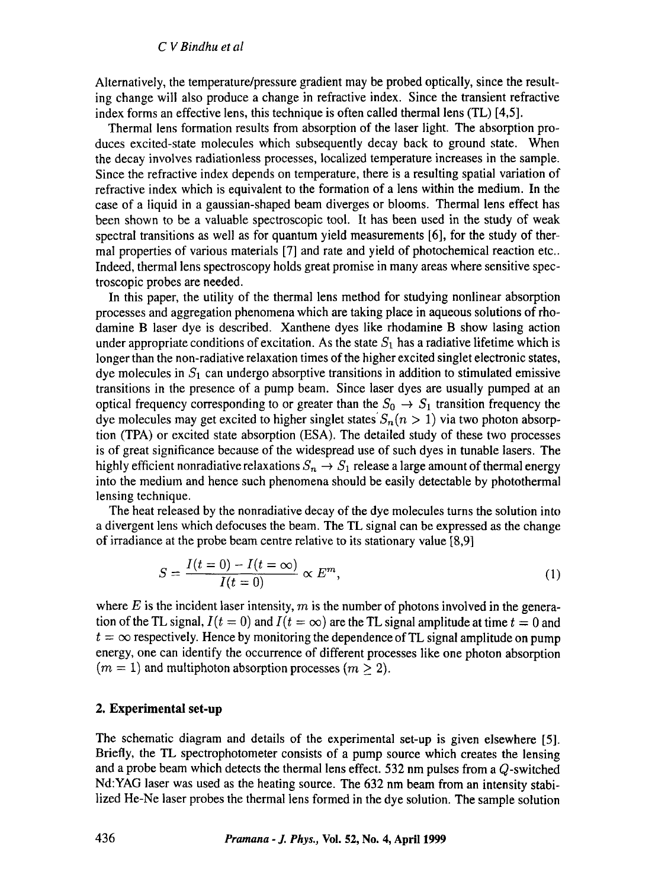Alternatively, the temperature/pressure gradient may be probed optically, since the resulting change will also produce a change in refractive index. Since the transient refractive index forms an effective lens, this technique is often called thermal lens (TL) [4,5].

Thermal lens formation results from absorption of the laser light. The absorption produces excited-state molecules which subsequently decay back to ground state. When the decay involves radiationless processes, localized temperature increases in the sample. Since the refractive index depends on temperature, there is a resulting spatial variation of refractive index which is equivalent to the formation of a lens within the medium. In the case of a liquid in a gaussian-shaped beam diverges or blooms. Thermal lens effect has been shown to be a valuable spectroscopic tool. It has been used in the study of weak spectral transitions as well as for quantum yield measurements [6], for the study of thermal properties of various materials [7] and rate and yield of photochemical reaction etc.. Indeed, thermal lens spectroscopy holds great promise in many areas where sensitive spectroscopic probes are needed.

In this paper, the utility of the thermal lens method for studying nonlinear absorption processes and aggregation phenomena which are taking place in aqueous solutions of rhodamine B laser dye is described. Xanthene dyes like rhodamine B show lasing action under appropriate conditions of excitation. As the state  $S_1$  has a radiative lifetime which is longer than the non-radiative relaxation times of the higher excited singlet electronic states, dye molecules in  $S_1$  can undergo absorptive transitions in addition to stimulated emissive transitions in the presence of a pump beam. Since laser dyes are usually pumped at an optical frequency corresponding to or greater than the  $S_0 \rightarrow S_1$  transition frequency the dye molecules may get excited to higher singlet states  $S_n (n > 1)$  via two photon absorption (TPA) or excited state absorption (ESA). The detailed study of these two processes is of great significance because of the widespread use of such dyes in tunable lasers. The highly efficient nonradiative relaxations  $S_n \to S_1$  release a large amount of thermal energy into the medium and hence such phenomena should be easily detectable by photothermal lensing technique.

The heat released by the nonradiative decay of the dye molecules turns the solution into a divergent lens which defocuses the beam. The TL signal can be expressed as the change of irradiance at the probe beam centre relative to its stationary value [8,9]

$$
S = \frac{I(t=0) - I(t=\infty)}{I(t=0)} \propto E^m,
$$
\n(1)

where  $E$  is the incident laser intensity,  $m$  is the number of photons involved in the generation of the TL signal,  $I(t = 0)$  and  $I(t = \infty)$  are the TL signal amplitude at time  $t = 0$  and  $t = \infty$  respectively. Hence by monitoring the dependence of TL signal amplitude on pump energy, one can identify the occurrence of different processes like one photon absorption  $(m = 1)$  and multiphoton absorption processes  $(m > 2)$ .

#### **2. Experimental set-up**

The schematic diagram and details of the experimental set-up is given elsewhere [5]. Briefly, the TL spectrophotometer consists of a pump source which creates the lensing and a probe beam which detects the thermal lens effect. 532 nm pulses from a Q-switched Nd:YAG laser was used as the heating source. The 632 nm beam from an intensity stabilized He-Ne laser probes the thermal lens formed in the dye solution. The sample solution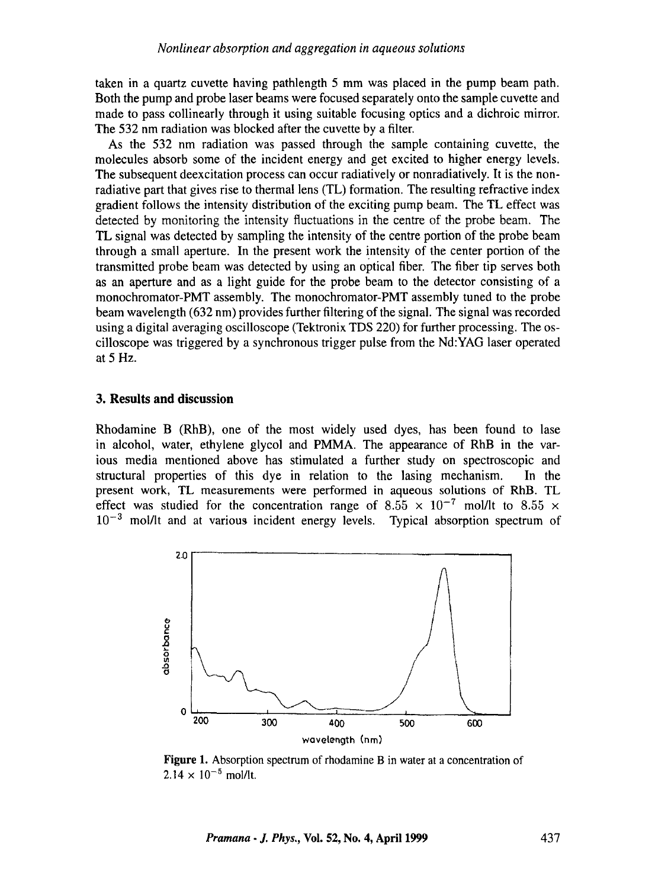taken in a quartz cuvette having pathlength 5 mm was placed in the pump beam path. Both the pump and probe laser beams were focused separately onto the sample cuvette and made to pass collinearly through it using suitable focusing optics and a dichroic mirror. The 532 nm radiation was blocked after the cuvette by a filter.

As the 532 nm radiation was passed through the sample containing cuvette, the molecules absorb some of the incident energy and get excited to higher energy levels. The subsequent deexcitation process can occur radiatively or nonradiatively. It is the nonradiative part that gives rise to thermal lens (TL) formation. The resulting refractive index gradient follows the intensity distribution of the exciting pump beam. The TL effect was detected by monitoring the intensity fluctuations in the centre of the probe beam. The TL signal was detected by sampling the intensity of the centre portion of the probe beam through a small aperture. In the present work the intensity of the center portion of the transmitted probe beam was detected by using an optical fiber. The fiber tip serves both as an aperture and as a light guide for the probe beam to the detector consisting of a monochromator-PMT assembly. The monochromator-PMT assembly tuned to the probe beam wavelength (632 nm) provides further filtering of the signal. The signal was recorded using a digital averaging oscilloscope (Tektronix TDS 220) for further processing. The oscilloscope was triggered by a synchronous trigger pulse from the Nd:YAG laser operated at5 Hz.

## **3. Results and discussion**

Rhodamine B (RhB), one of the most widely used dyes, has been found to lase in alcohol, water, ethylene glycol and PMMA. The appearance of RhB in the various media mentioned above has stimulated a further study on spectroscopic and structural properties of this dye in relation to the lasing mechanism. In the present work, TL measurements were performed in aqueous solutions of RhB. TL effect was studied for the concentration range of 8.55  $\times$  10<sup>-7</sup> mol/lt to 8.55  $\times$  $10^{-3}$  mol/lt and at various incident energy levels. Typical absorption spectrum of



Figure 1. Absorption spectrum of rhodamine B in water at a concentration of  $2.14 \times 10^{-5}$  mol/lt.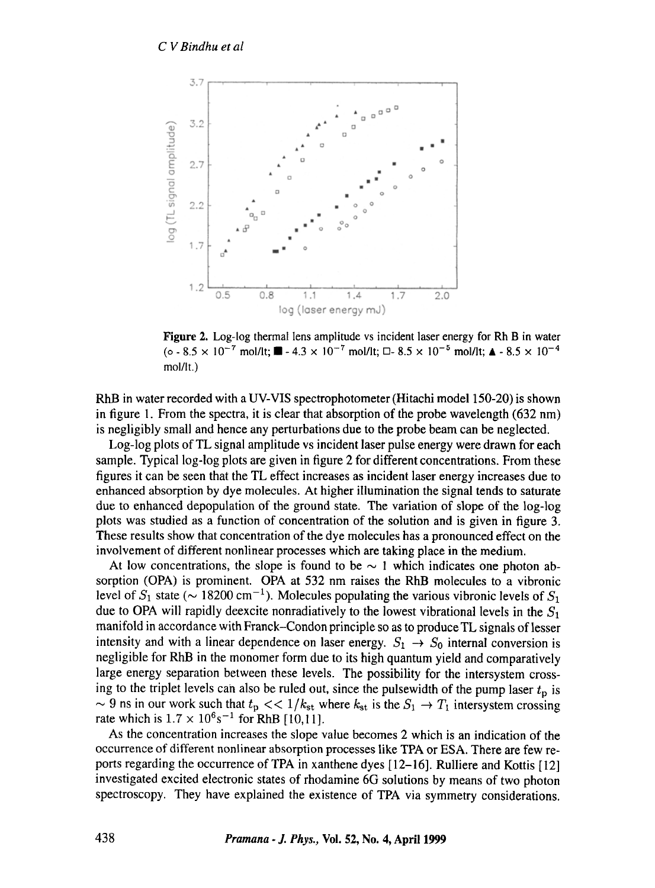

**Figure 2. Log-log thermal lens amplitude vs incident laser energy for Rh B in water**  (o - 8.5  $\times$  10<sup>-7</sup> mol/lt;  $\blacksquare$  - 4.3  $\times$  10<sup>-7</sup> mol/lt;  $\square$ - 8.5  $\times$  10<sup>-5</sup> mol/lt;  $\blacktriangle$  - 8.5  $\times$  10<sup>-4</sup> **mol/lt.)** 

RhB in water recorded with a UV-VIS spectrophotometer (Hitachi model 150-20) is shown in figure 1. From the spectra, it is clear that absorption of the probe wavelength  $(632 \text{ nm})$ is negligibly small and hence any perturbations due to the probe beam can be neglected.

Log-log plots of TL signal amplitude vs incident laser pulse energy were drawn for each sample. Typical log-log plots are given in figure 2 for different concentrations. From these figures it can be seen that the TL effect increases as incident laser energy increases due to enhanced absorption by dye molecules. At higher illumination the signal tends to saturate due to enhanced depopulation of the ground state. The variation of slope of the log-log plots was studied as a function of concentration of the solution and is given in figure 3. These results show that concentration of the dye molecules has a pronounced effect on the involvement of different nonlinear processes which are taking place in the medium.

At low concentrations, the slope is found to be  $\sim$  1 which indicates one photon absorption (OPA) is prominent. OPA at 532 nm raises the RhB molecules to a vibronic level of  $S_1$  state ( $\sim 18200 \text{ cm}^{-1}$ ). Molecules populating the various vibronic levels of  $S_1$ due to OPA will rapidly deexcite nonradiatively to the lowest vibrational levels in the  $S_1$ manifold in accordance with Franck-Condon principle so as to produce TL signals of lesser intensity and with a linear dependence on laser energy.  $S_1 \rightarrow S_0$  internal conversion is negligible for RhB in the monomer form due to its high quantum yield and comparatively large energy separation between these levels. The possibility for the intersystem crossing to the triplet levels can also be ruled out, since the pulsewidth of the pump laser  $t_p$  is  $\sim$  9 ns in our work such that  $t_p \ll 1/k_{st}$  where  $k_{st}$  is the  $S_1 \rightarrow T_1$  intersystem crossing rate which is  $1.7 \times 10^{6}$ s<sup>-1</sup> for RhB [10,11].

As the concentration increases the slope value becomes 2 which is an indication of the occurrence of different nonlinear absorption processes like TPA or ESA. There are few reports regarding the occurrence of TPA in xanthene dyes [12-16]. Rulliere and Kottis [ 12] investigated excited electronic states of rhodamine 6G solutions by means of two photon spectroscopy. They have explained the existence of TPA via symmetry considerations.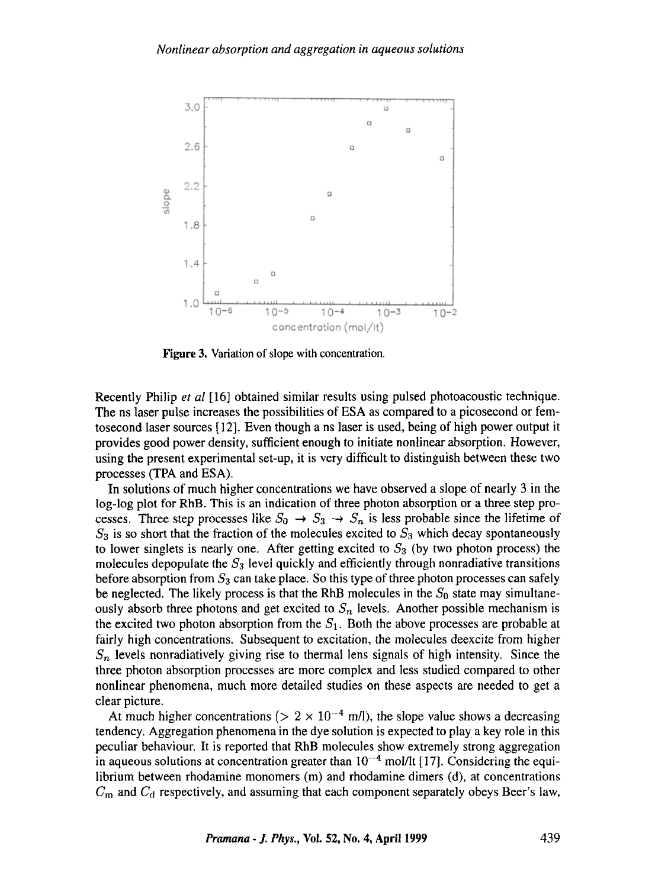

Figure 3. Variation of slope with concentration.

Recently Philip *et al* [16] obtained similar results using pulsed photoacoustic technique. The ns laser pulse increases the possibilities of ESA as compared to a picosecond or femtosecond laser sources [12]. Even though ans laser is used, being of high power output it provides good power density, sufficient enough to initiate nonlinear absorption. However, using the present experimental set-up, it is very difficult to distinguish between these two processes (TPA and ESA).

In solutions of much higher concentrations we have observed a slope of nearly 3 in the log-log plot for RhB. This is an indication of three photon absorption or a three step processes. Three step processes like  $S_0 \rightarrow S_3 \rightarrow S_n$  is less probable since the lifetime of  $S_3$  is so short that the fraction of the molecules excited to  $S_3$  which decay spontaneously to lower singlets is nearly one. After getting excited to  $S_3$  (by two photon process) the molecules depopulate the  $S_3$  level quickly and efficiently through nonradiative transitions before absorption from  $S_3$  can take place. So this type of three photon processes can safely be neglected. The likely process is that the RhB molecules in the  $S_0$  state may simultaneously absorb three photons and get excited to  $S_n$  levels. Another possible mechanism is the excited two photon absorption from the  $S_1$ . Both the above processes are probable at fairly high concentrations. Subsequent to excitation, the molecules deexcite from higher  $S_n$  levels nonradiatively giving rise to thermal lens signals of high intensity. Since the three photon absorption processes are more complex and less studied compared to other nonlinear phenomena, much more detailed studies on these aspects are needed to get a clear picture.

At much higher concentrations ( $> 2 \times 10^{-4}$  m/l), the slope value shows a decreasing tendency. Aggregation phenomena in the dye solution is expected to play a key role in this peculiar behaviour. It is reported that RhB molecules show extremely strong aggregation in aqueous solutions at concentration greater than  $10^{-4}$  mol/lt [17]. Considering the equilibrium between rhodamine monomers (m) and rhodamine dimers (d), at concentrations  $C<sub>m</sub>$  and  $C<sub>d</sub>$  respectively, and assuming that each component separately obeys Beer's law,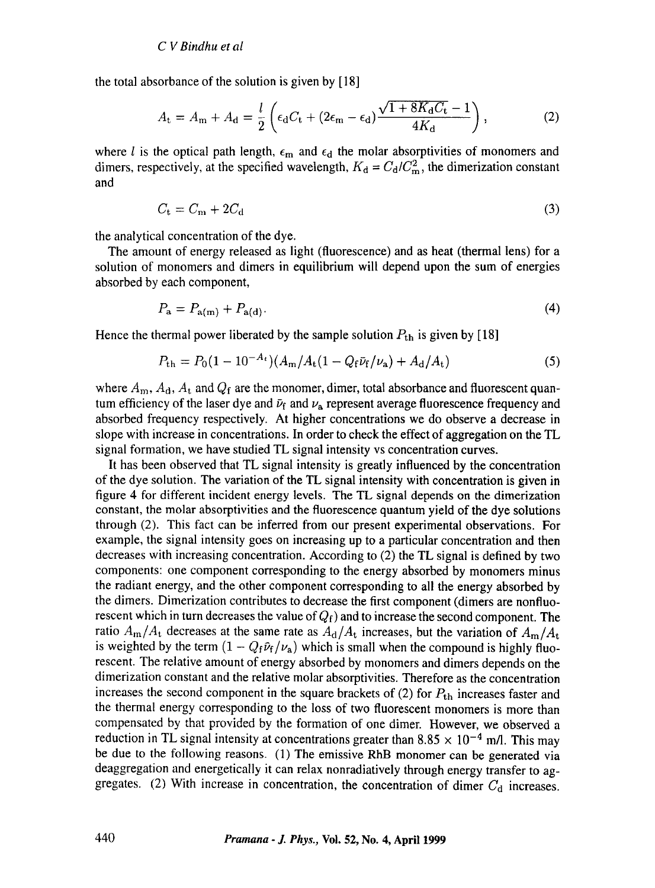the total absorbance of the solution is given by [ 18]

$$
A_{\rm t} = A_{\rm m} + A_{\rm d} = \frac{l}{2} \left( \epsilon_{\rm d} C_{\rm t} + (2\epsilon_{\rm m} - \epsilon_{\rm d}) \frac{\sqrt{1 + 8K_{\rm d}C_{\rm t}} - 1}{4K_{\rm d}} \right),\tag{2}
$$

where *l* is the optical path length,  $\epsilon_m$  and  $\epsilon_d$  the molar absorptivities of monomers and dimers, respectively, at the specified wavelength,  $K_d = C_d/C_m^2$ , the dimerization constant and

$$
C_{\rm t} = C_{\rm m} + 2C_{\rm d} \tag{3}
$$

the analytical concentration of the dye.

The amount of energy released as light (fluorescence) and as heat (thermal lens) for a solution of monomers and dimers in equilibrium will depend upon the sum of energies absorbed by each component,

$$
P_{\mathbf{a}} = P_{\mathbf{a(m)}} + P_{\mathbf{a(d)}}.\tag{4}
$$

Hence the thermal power liberated by the sample solution  $P_{th}$  is given by [18]

$$
P_{\rm th} = P_0 (1 - 10^{-A_t}) (A_{\rm m}/A_{\rm t} (1 - Q_{\rm f} \bar{\nu}_{\rm f}/\nu_{\rm a}) + A_{\rm d}/A_{\rm t}) \tag{5}
$$

where  $A_{\rm m}$ ,  $A_{\rm d}$ ,  $A_{\rm t}$  and  $Q_{\rm f}$  are the monomer, dimer, total absorbance and fluorescent quantum efficiency of the laser dye and  $\bar{\nu}_{f}$  and  $\nu_{a}$  represent average fluorescence frequency and absorbed frequency respectively. At higher concentrations we do observe a decrease in slope with increase in concentrations. In order to check the effect of aggregation on the TL signal formation, we have studied TL signal intensity vs concentration curves.

It has been observed that TL signal intensity is greatly influenced by the concentration of the dye solution. The variation of the TL signal intensity with concentration is given in figure 4 for different incident energy levels. The TL signal depends on the dimerization constant, the molar absorptivities and the fluorescence quantum yield of the dye solutions through (2). This fact can be inferred from our present experimental observations. For example, the signal intensity goes on increasing up to a particular concentration and then decreases with increasing concentration. According to (2) the TL signal is defined by two components: one component corresponding to the energy absorbed by monomers minus the radiant energy, and the other component corresponding to all the energy absorbed by the dimers. Dimerization contributes to decrease the first component (dimers are nonfluorescent which in turn decreases the value of  $Q_f$ ) and to increase the second component. The ratio  $A_m/A_t$  decreases at the same rate as  $A_d/A_t$  increases, but the variation of  $A_m/A_t$ is weighted by the term  $(1 - Q_f \bar{\nu}_f/\nu_a)$  which is small when the compound is highly fluorescent. The relative amount of energy absorbed by monomers and dimers depends on the dimerization constant and the relative molar absorptivities. Therefore as the concentration increases the second component in the square brackets of  $(2)$  for  $P_{th}$  increases faster and the thermal energy corresponding to the loss of two fluorescent monomers is more than compensated by that provided by the formation of one dimer. However, we observed a reduction in TL signal intensity at concentrations greater than 8.85  $\times$  10<sup>-4</sup> m/l. This may be due to the following reasons. (1) The emissive RhB monomer can be generated via deaggregation and energetically it can relax nonradiatively through energy transfer to aggregates. (2) With increase in concentration, the concentration of dimer  $C_d$  increases.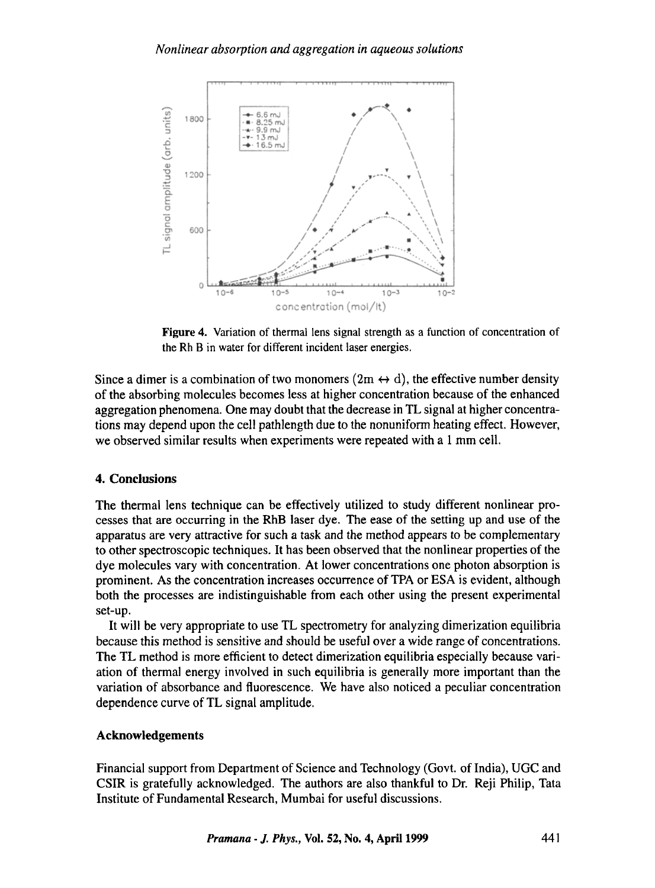

Figure 4. Variation of thermal lens signal strength as a function of concentration of the Rh B in water for different incident laser energies.

Since a dimer is a combination of two monomers  $(2m \leftrightarrow d)$ , the effective number density of the absorbing molecules becomes less at higher concentration because of the enhanced aggregation phenomena. One may doubt that the decrease in TL signal at higher concentrations may depend upon the cell pathlength due to the nonuniform heating effect. However, we observed similar results when experiments were repeated with a 1 mm cell.

# **4. Conclusions**

The thermal lens technique can be effectively utilized to study different nonlinear processes that are occurring in the RhB laser dye. The ease of the setting up and use of the apparatus are very attractive for such a task and the method appears to be complementary to other spectroscopic techniques. It has been observed that the nonlinear properties of the dye molecules vary with concentration. At lower concentrations one photon absorption is prominent. As the concentration increases occurrence of TPA or ESA is evident, although both the processes are indistinguishable from each other using the present experimental set-up.

It will be very appropriate to use TL spectrometry for analyzing dimerization equilibria because this method is sensitive and should be useful over a wide range of concentrations. The TL method is more efficient to detect dimerization equilibria especially because variation of thermal energy involved in such equilibria is generally more important than the variation of absorbance and fluorescence. We have also noticed a peculiar concentration dependence curve of TL signal amplitude.

## **Acknowledgements**

Financial support from Department of Science and Technology (Govt. of India), UGC and CSIR is gratefully acknowledged. The authors are also thankful to Dr. Reji Philip, Tata Institute of Fundamental Research, Mumbai for useful discussions.